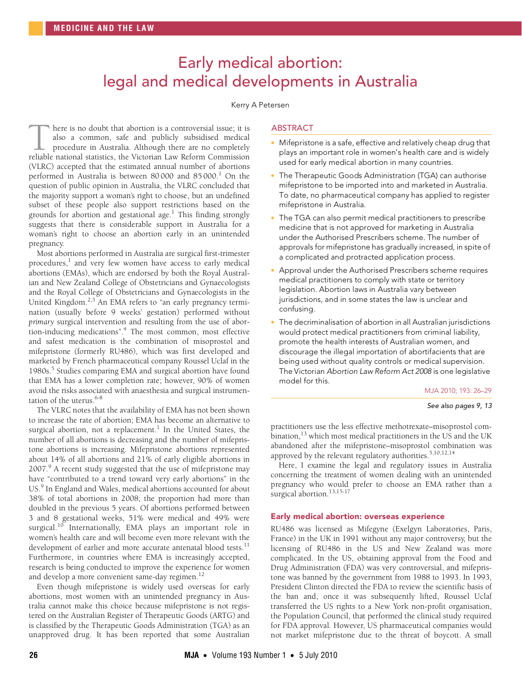# Early medical abortion: legal and medical developments in Australia

# Kerry A Petersen

<span id="page-0-0"></span>the majority support a woman's right to choose, but an undefined  $\frac{1}{2}$  of these people also sup grounds for abortion and gestational age.<sup>[1](#page-3-0)</sup> This finding strongly suggests that there is considerable support in Australia for a woman's right to choose an abortion early in an unintended here is no doubt that abortion is a controversial issue; it is also a common, safe and publicly subsidised medical procedure in Australia. Although there are no completely There is no doubt that abortion is a controversial issue; it is also a common, safe and publicly subsidised medical procedure in Australia. Although there are no completely reliable national statistics, the Victorian Law R (VLRC) accepted that the estimated annual number of abortions performed in Australia is between 80000 and 85000.<sup>[1](#page-3-0)</sup> On the question of public opinion in Australia, the VLRC concluded that subset of these people als[o s](#page-0-0)[upp](#page-3-15)ort restrictions based on the pregnancy.

Most abortions performed in Australia are surgical first-trimester procedures,<sup>[1](#page-3-0)</sup> and very few women have access to early medical abortions (EMAs), which are endorsed by both the Royal Australian and New Zealand College of Obstetricians and Gynaecologists and the Royal College of Obstetricians and Gynaecologists in the United Kingdom.[2](#page-3-1),[3](#page-3-2) An EMA refers to "an early pregnancy termination (usually before 9 weeks' gestation) performed without *primary* surgical intervention and resulting from the use of abortion-inducing medications".[4](#page-3-3) The most common, most effective and safest medication is the combination of misoprostol and mifepristone (formerly RU486), which was first developed and marketed by French pharmaceutical company Roussel Uclaf in the 1980s.<sup>[5](#page-3-4)</sup> Studies comparing EMA and surgical abortion have found that EMA has a lower completion rate; however, 90% of women avoid the risks associated with anaesthesia and surgical instrumen-tation of the uterus.<sup>6-[8](#page-3-6)</sup>

The VLRC notes that the availability of EMA has not been shown to increase the rate of abortion; EMA has become an alternative to surgical abortion, not a replacement.<sup>[1](#page-3-0)</sup> In the United States, the number of all abortions is decreasing and the number of mifepristone abortions is increasing. Mifepristone abortions represented about 14% of all abortions and 21% of early eligible abortions in 2007.<sup>[9](#page-3-7)</sup> A recent study suggested that the use of mifepristone may have "contributed to a trend toward very early abortions" in the US.<sup>[9](#page-3-7)</sup> In England and Wales, medical abortions accounted for about 38% of total abortions in 2008; the proportion had more than doubled in the previous 5 years. Of abortions performed between 3 and 8 gestational weeks, 51% were medical and 49% were surgical.<sup>[10](#page-3-8)</sup> Internationally, EMA plays an important role in women's health care and will become even more relevant with the development of earlier and more accurate antenatal blood tests.<sup>[11](#page-3-9)</sup> Furthermore, in countries where EMA is increasingly accepted, research is being conducted to improve the experience for women and develop a more convenient same-day regimen. $^{12}$ 

Even though mifepristone is widely used overseas for early abortions, most women with an unintended pregnancy in Australia cannot make this choice because mifepristone is not registered on the Australian Register of Therapeutic Goods (ARTG) and is classified by the Therapeutic Goods Administration (TGA) as an unapproved drug. It has been reported that some Australian

## ABSTRACT

- Mifepristone is a safe, effective and relatively cheap drug that plays an important role in women's health care and is widely used for early medical abortion in many countries.
- The Therapeutic Goods Administration (TGA) can authorise mifepristone to be imported into and marketed in Australia. To date, no pharmaceutical company has applied to register mifepristone in Australia.
- The TGA can also permit medical practitioners to prescribe medicine that is not approved for marketing in Australia under the Authorised Prescribers scheme. The number of approvals for mifepristone has gradually increased, in spite of a complicated and protracted application process.
- Approval under the Authorised Prescribers scheme requires medical practitioners to comply with state or territory legislation. Abortion laws in Australia vary between jurisdictions, and in some states the law is unclear and confusing.
- The decriminalisation of abortion in all Australian jurisdictions would protect medical practitioners from criminal liability, promote the health interests of Australian women, and discourage the illegal importation of abortifacients that are being used without quality controls or medical supervision. The Victorian Abortion Law Reform Act 2008 is one legislative model for this.

#### MJA 2010; 193: 26–29

#### See also pages 9, 13

practitioners use the less effective methotrexate–misoprostol combination,[13](#page-3-11) which most medical practitioners in the US and the UK abandoned after the mifepristone–misoprostol combination was approved by the relevant regulatory authorities.<sup>[5](#page-3-4),[10,](#page-3-8)[12](#page-3-10),[14](#page-3-12)</sup>

Here, I examine the legal and regulatory issues in Australia concerning the treatment of women dealing with an unintended pregnancy who would prefer to choose an EMA rather than a surgical abortion.<sup>13,[15-](#page-3-13)[17](#page-3-14)</sup>

## Early medical abortion: overseas experience

RU486 was licensed as Mifegyne (Exelgyn Laboratories, Paris, France) in the UK in 1991 without any major controversy, but the licensing of RU486 in the US and New Zealand was more complicated. In the US, obtaining approval from the Food and Drug Administration (FDA) was very controversial, and mifepristone was banned by the government from 1988 to 1993. In 1993, President Clinton directed the FDA to review the scientific basis of the ban and, once it was subsequently lifted, Roussel Uclaf transferred the US rights to a New York non-profit organisation, the Population Council, that performed the clinical study required for FDA approval. However, US pharmaceutical companies would not market mifepristone due to the threat of boycott. A small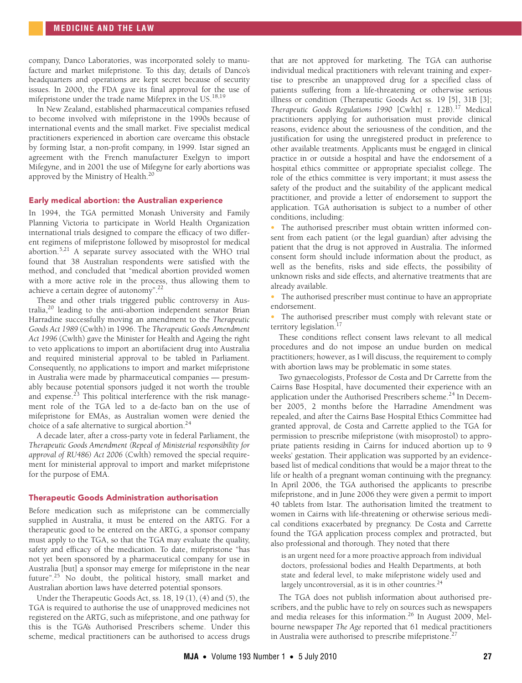company, Danco Laboratories, was incorporated solely to manufacture and market mifepristone. To this day, details of Danco's headquarters and operations are kept secret because of security issues. In 2000, the FDA gave its final approval for the use of mifepristone under the trade name Mifeprex in the US. $^{18,19}$  $^{18,19}$  $^{18,19}$  $^{18,19}$ 

In New Zealand, established pharmaceutical companies refused to become involved with mifepristone in the 1990s because of international events and the small market. Five specialist medical practitioners experienced in abortion care overcame this obstacle by forming Istar, a non-profit company, in 1999. Istar signed an agreement with the French manufacturer Exelgyn to import Mifegyne, and in 2001 the use of Mifegyne for early abortions was approved by the Ministry of Health.<sup>[20](#page-3-18)</sup>

### Early medical abortion: the Australian experience

In 1994, the TGA permitted Monash University and Family Planning Victoria to participate in World Health Organization international trials designed to compare the efficacy of two different regimens of mifepristone followed by misoprostol for medical abortion.<sup>[5](#page-3-4),21</sup> A separate survey associated with the WHO trial found that 38 Australian respondents were satisfied with the method, and concluded that "medical abortion provided women with a more active role in the process, thus allowing them to achieve a certain degree of autonomy".[22](#page-3-20)

These and other trials triggered public controversy in Australia[,20](#page-3-18) leading to the anti-abortion independent senator Brian Harradine successfully moving an amendment to the *Therapeutic Goods Act 1989* (Cwlth) in 1996. The *Therapeutic Goods Amendment Act 1996* (Cwlth) gave the Minister for Health and Ageing the right to veto applications to import an abortifacient drug into Australia and required ministerial approval to be tabled in Parliament. Consequently, no applications to import and market mifepristone in Australia were made by pharmaceutical companies — presumably because potential sponsors judged it not worth the trouble and expense.<sup>23</sup> This political interference with the risk management role of the TGA led to a de-facto ban on the use of mifepristone for EMAs, as Australian women were denied the choice of a safe alternative to surgical abortion.<sup>24</sup>

A decade later, after a cross-party vote in federal Parliament, the *Therapeutic Goods Amendment (Repeal of Ministerial responsibility for approval of RU486) Act 2006* (Cwlth) removed the special requirement for ministerial approval to import and market mifepristone for the purpose of EMA.

#### Therapeutic Goods Administration authorisation

Before medication such as mifepristone can be commercially supplied in Australia, it must be entered on the ARTG. For a therapeutic good to be entered on the ARTG, a sponsor company must apply to the TGA, so that the TGA may evaluate the quality, safety and efficacy of the medication. To date, mifepristone "has not yet been sponsored by a pharmaceutical company for use in Australia [but] a sponsor may emerge for mifepristone in the near future".[25](#page-3-23) No doubt, the political history, small market and Australian abortion laws have deterred potential sponsors.

Under the Therapeutic Goods Act, ss. 18, 19 (1), (4) and (5), the TGA is required to authorise the use of unapproved medicines not registered on the ARTG, such as mifepristone, and one pathway for this is the TGA's Authorised Prescribers scheme. Under this scheme, medical practitioners can be authorised to access drugs

that are not approved for marketing. The TGA can authorise individual medical practitioners with relevant training and expertise to prescribe an unapproved drug for a specified class of patients suffering from a life-threatening or otherwise serious illness or condition (Therapeutic Goods Act ss. 19 [5], 31B [3]; *Therapeutic Goods Regulations 1990* [Cwlth] r. 12B).[17](#page-3-14) Medical practitioners applying for authorisation must provide clinical reasons, evidence about the seriousness of the condition, and the justification for using the unregistered product in preference to other available treatments. Applicants must be engaged in clinical practice in or outside a hospital and have the endorsement of a hospital ethics committee or appropriate specialist college. The role of the ethics committee is very important; it must assess the safety of the product and the suitability of the applicant medical practitioner, and provide a letter of endorsement to support the application. TGA authorisation is subject to a number of other conditions, including:

• The authorised prescriber must obtain written informed consent from each patient (or the legal guardian) after advising the patient that the drug is not approved in Australia. The informed consent form should include information about the product, as well as the benefits, risks and side effects, the possibility of unknown risks and side effects, and alternative treatments that are already available.

• The authorised prescriber must continue to have an appropriate endorsement.

• The authorised prescriber must comply with relevant state or territory legislation.<sup>[17](#page-3-14)</sup>

These conditions reflect consent laws relevant to all medical procedures and do not impose an undue burden on medical practitioners; however, as I will discuss, the requirement to comply with abortion laws may be problematic in some states.

Two gynaecologists, Professor de Costa and Dr Carrette from the Cairns Base Hospital, have documented their experience with an application under the Authorised Prescribers scheme.<sup>24</sup> In December 2005, 2 months before the Harradine Amendment was repealed, and after the Cairns Base Hospital Ethics Committee had granted approval, de Costa and Carrette applied to the TGA for permission to prescribe mifepristone (with misoprostol) to appropriate patients residing in Cairns for induced abortion up to 9 weeks' gestation. Their application was supported by an evidencebased list of medical conditions that would be a major threat to the life or health of a pregnant woman continuing with the pregnancy. In April 2006, the TGA authorised the applicants to prescribe mifepristone, and in June 2006 they were given a permit to import 40 tablets from Istar. The authorisation limited the treatment to women in Cairns with life-threatening or otherwise serious medical conditions exacerbated by pregnancy. De Costa and Carrette found the TGA application process complex and protracted, but also professional and thorough. They noted that there

is an urgent need for a more proactive approach from individual doctors, professional bodies and Health Departments, at both state and federal level, to make mifepristone widely used and largely uncontroversial, as it is in other countries. $24$ 

The TGA does not publish information about authorised prescribers, and the public have to rely on sources such as newspapers and media releases for this information.<sup>26</sup> In August 2009, Melbourne newspaper *The Age* reported that 61 medical practitioners in Australia were authorised to prescribe mifepristone.<sup>27</sup>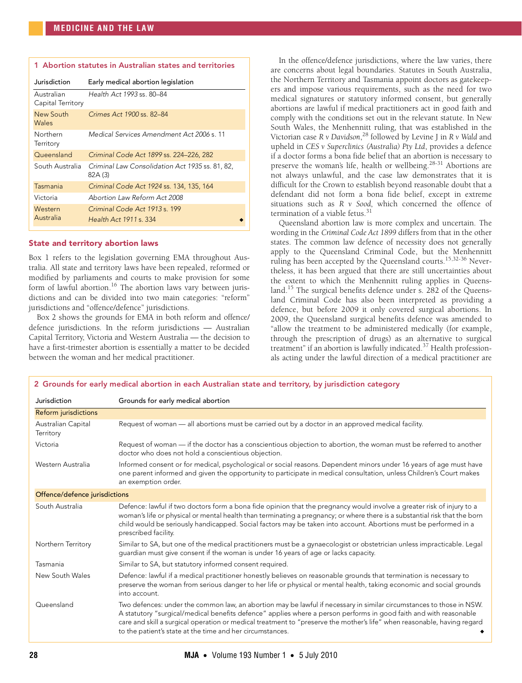| <u>ADVITION SUITUTES IN AUSTIQUATI SUITES AND ITEMITES</u> |                                                            |  |
|------------------------------------------------------------|------------------------------------------------------------|--|
| Jurisdiction                                               | Early medical abortion legislation                         |  |
| Australian<br>Capital Territory                            | Health Act 1993 ss. 80–84                                  |  |
| New South<br>Wales                                         | Crimes Act 1900 ss. 82–84                                  |  |
| Northern<br>Territory                                      | Medical Services Amendment Act 2006 s. 11                  |  |
| Queensland                                                 | Criminal Code Act 1899 ss. 224–226, 282                    |  |
| South Australia                                            | Criminal Law Consolidation Act 1935 ss. 81, 82,<br>82A (3) |  |
| Tasmania                                                   | Criminal Code Act 1924 ss. 134, 135, 164                   |  |
| Victoria                                                   | Abortion Law Reform Act 2008                               |  |
| Western<br>Australia                                       | Criminal Code Act 1913 s. 199<br>Health Act 1911 s. 334    |  |

<span id="page-2-0"></span>1 Abortion statutes in Australian states and territories

## State and territory abortion laws

[Box 1](#page-2-0) refers to the legislation governing EMA throughout Australia. All state and territory laws have been repealed, reformed or modified by parliaments and courts to make provision for some form of lawful abortion.<sup>16</sup> The abortion laws vary between jurisdictions and can be divided into two main categories: "reform" jurisdictions and "offence/defence" jurisdictions.

[Box 2](#page-2-1) shows the grounds for EMA in both reform and offence/ defence jurisdictions. In the reform jurisdictions — Australian Capital Territory, Victoria and Western Australia — the decision to have a first-trimester abortion is essentially a matter to be decided between the woman and her medical practitioner.

In the offence/defence jurisdictions, where the law varies, there are concerns about legal boundaries. Statutes in South Australia, the Northern Territory and Tasmania appoint doctors as gatekeepers and impose various requirements, such as the need for two medical signatures or statutory informed consent, but generally abortions are lawful if medical practitioners act in good faith and comply with the conditions set out in the relevant statute. In New South Wales, the Menhennitt ruling, that was established in the Victorian case *R v Davidson*, [28](#page-3-27) followed by Levine J in *R v Wald* and upheld in *CES v Superclinics (Australia) Pty Ltd*, provides a defence if a doctor forms a bona fide belief that an abortion is necessary to preserve the woman's life, health or wellbeing.<sup>[28-](#page-3-27)31</sup> Abortions are not always unlawful, and the case law demonstrates that it is difficult for the Crown to establish beyond reasonable doubt that a defendant did not form a bona fide belief, except in extreme situations such as *R v Sood*, which concerned the offence of termination of a viable fetus.<sup>[31](#page-3-28)</sup>

Queensland abortion law is more complex and uncertain. The wording in the *Criminal Code Act 1899* differs from that in the other states. The common law defence of necessity does not generally apply to the Queensland Criminal Code, but the Menhennitt ruling has been accepted by the Queensland courts.<sup>[15](#page-3-13)[,32](#page-3-29)-[36](#page-3-30)</sup> Nevertheless, it has been argued that there are still uncertainties about the extent to which the Menhennitt ruling applies in Queensland.<sup>15</sup> The surgical benefits defence under s. 282 of the Queensland Criminal Code has also been interpreted as providing a defence, but before 2009 it only covered surgical abortions. In 2009, the Queensland surgical benefits defence was amended to "allow the treatment to be administered medically (for example, through the prescription of drugs) as an alternative to surgical treatment" if an abortion is lawfully indicated[.37](#page-3-15) Health professionals acting under the lawful direction of a medical practitioner are

| Jurisdiction                    | Grounds for early medical abortion                                                                                                                                                                                                                                                                                                                                                                                                |  |
|---------------------------------|-----------------------------------------------------------------------------------------------------------------------------------------------------------------------------------------------------------------------------------------------------------------------------------------------------------------------------------------------------------------------------------------------------------------------------------|--|
| Reform jurisdictions            |                                                                                                                                                                                                                                                                                                                                                                                                                                   |  |
| Australian Capital<br>Territory | Request of woman - all abortions must be carried out by a doctor in an approved medical facility.                                                                                                                                                                                                                                                                                                                                 |  |
| Victoria                        | Request of woman — if the doctor has a conscientious objection to abortion, the woman must be referred to another<br>doctor who does not hold a conscientious objection.                                                                                                                                                                                                                                                          |  |
| Western Australia               | Informed consent or for medical, psychological or social reasons. Dependent minors under 16 years of age must have<br>one parent informed and given the opportunity to participate in medical consultation, unless Children's Court makes<br>an exemption order.                                                                                                                                                                  |  |
| Offence/defence jurisdictions   |                                                                                                                                                                                                                                                                                                                                                                                                                                   |  |
| South Australia                 | Defence: lawful if two doctors form a bona fide opinion that the pregnancy would involve a greater risk of injury to a<br>woman's life or physical or mental health than terminating a pregnancy; or where there is a substantial risk that the born<br>child would be seriously handicapped. Social factors may be taken into account. Abortions must be performed in a<br>prescribed facility.                                  |  |
| Northern Territory              | Similar to SA, but one of the medical practitioners must be a gynaecologist or obstetrician unless impracticable. Legal<br>quardian must give consent if the woman is under 16 years of age or lacks capacity.                                                                                                                                                                                                                    |  |
| Tasmania                        | Similar to SA, but statutory informed consent required.                                                                                                                                                                                                                                                                                                                                                                           |  |
| New South Wales                 | Defence: lawful if a medical practitioner honestly believes on reasonable grounds that termination is necessary to<br>preserve the woman from serious danger to her life or physical or mental health, taking economic and social grounds<br>into account.                                                                                                                                                                        |  |
| Queensland                      | Two defences: under the common law, an abortion may be lawful if necessary in similar circumstances to those in NSW.<br>A statutory "surgical/medical benefits defence" applies where a person performs in good faith and with reasonable<br>care and skill a surgical operation or medical treatment to "preserve the mother's life" when reasonable, having regard<br>to the patient's state at the time and her circumstances. |  |

<span id="page-2-1"></span>2 Grounds for early medical abortion in each Australian state and territory, by jurisdiction category